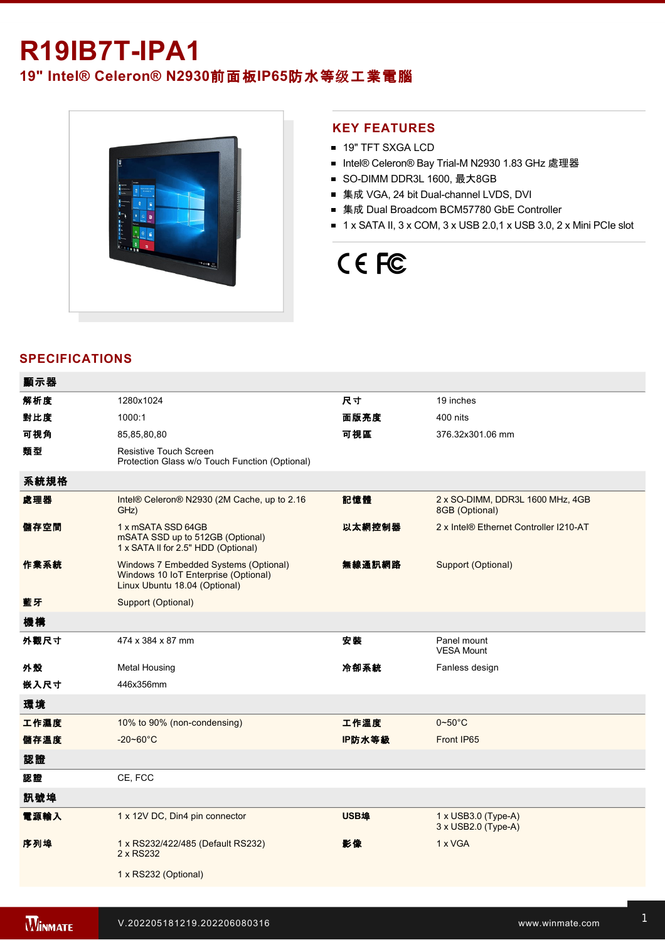# **R19IB7T-IPA1**

## **19" Intel® Celeron® N2930**前面板**IP65**防水等级工業電腦



#### **KEY FEATURES**

- 19" TFT SXGA LCD
- Intel® Celeron® Bay Trial-M N2930 1.83 GHz 處理器
- SO-DIMM DDR3L 1600, 最大8GB
- 集成 VGA, 24 bit Dual-channel LVDS, DVI
- 集成 Dual Broadcom BCM57780 GbE Controller
- $\blacksquare$  1 x SATA II, 3 x COM, 3 x USB 2.0,1 x USB 3.0, 2 x Mini PCIe slot

# CE FC

### **SPECIFICATIONS**

| 顯示器  |                                                                                                                |        |                                                    |
|------|----------------------------------------------------------------------------------------------------------------|--------|----------------------------------------------------|
| 解析度  | 1280x1024                                                                                                      | 尺寸     | 19 inches                                          |
| 對比度  | 1000:1                                                                                                         | 面版亮度   | 400 nits                                           |
| 可視角  | 85,85,80,80                                                                                                    | 可視區    | 376.32x301.06 mm                                   |
| 類型   | Resistive Touch Screen<br>Protection Glass w/o Touch Function (Optional)                                       |        |                                                    |
| 系統規格 |                                                                                                                |        |                                                    |
| 處理器  | Intel® Celeron® N2930 (2M Cache, up to 2.16<br>GHz)                                                            | 記憶體    | 2 x SO-DIMM, DDR3L 1600 MHz, 4GB<br>8GB (Optional) |
| 儲存空間 | 1 x mSATA SSD 64GB<br>mSATA SSD up to 512GB (Optional)<br>1 x SATA II for 2.5" HDD (Optional)                  | 以太網控制器 | 2 x Intel® Ethernet Controller I210-AT             |
| 作業系統 | Windows 7 Embedded Systems (Optional)<br>Windows 10 IoT Enterprise (Optional)<br>Linux Ubuntu 18.04 (Optional) | 無線通訊網路 | Support (Optional)                                 |
| 藍牙   | Support (Optional)                                                                                             |        |                                                    |
| 機構   |                                                                                                                |        |                                                    |
| 外觀尺寸 | 474 x 384 x 87 mm                                                                                              | 安裝     | Panel mount<br><b>VESA Mount</b>                   |
| 外殼   | <b>Metal Housing</b>                                                                                           | 冷卻系統   | Fanless design                                     |
| 嵌入尺寸 | 446x356mm                                                                                                      |        |                                                    |
| 環境   |                                                                                                                |        |                                                    |
| 工作濕度 | 10% to 90% (non-condensing)                                                                                    | 工作溫度   | $0 - 50$ °C                                        |
| 儲存溫度 | $-20 - 60^{\circ}$ C                                                                                           | IP防水等級 | Front IP65                                         |
| 認證   |                                                                                                                |        |                                                    |
| 認證   | CE, FCC                                                                                                        |        |                                                    |
| 訊號埠  |                                                                                                                |        |                                                    |
| 電源輸入 | 1 x 12V DC, Din4 pin connector                                                                                 | USB埠   | 1 x USB3.0 (Type-A)<br>3 x USB2.0 (Type-A)         |
| 序列埠  | 1 x RS232/422/485 (Default RS232)<br>2 x RS232                                                                 | 影像     | 1 x VGA                                            |
|      | 1 x RS232 (Optional)                                                                                           |        |                                                    |
|      |                                                                                                                |        |                                                    |

Line in

1 x Led indicator for storage and storage in the storage storage in the storage storage in the storage storage